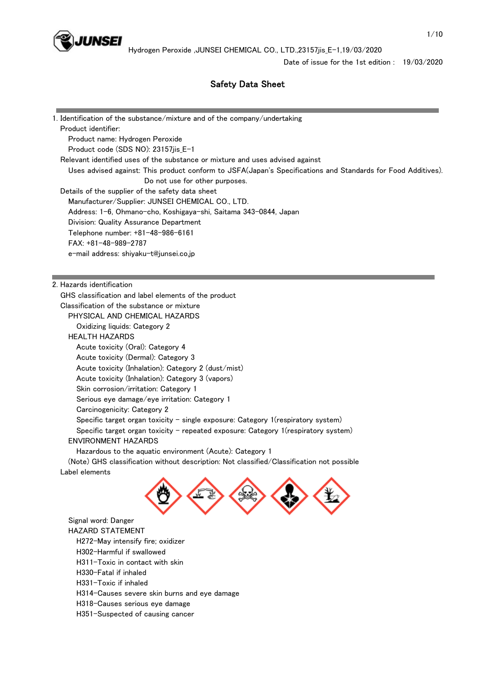

# Safety Data Sheet

| 1. Identification of the substance/mixture and of the company/undertaking                                                                      |  |
|------------------------------------------------------------------------------------------------------------------------------------------------|--|
| Product identifier:                                                                                                                            |  |
| Product name: Hydrogen Peroxide                                                                                                                |  |
| Product code (SDS NO): 23157jis_E-1                                                                                                            |  |
| Relevant identified uses of the substance or mixture and uses advised against                                                                  |  |
| Uses advised against: This product conform to JSFA(Japan's Specifications and Standards for Food Additives).<br>Do not use for other purposes. |  |
| Details of the supplier of the safety data sheet                                                                                               |  |
| Manufacturer/Supplier: JUNSEI CHEMICAL CO., LTD.                                                                                               |  |
| Address: 1-6, Ohmano-cho, Koshigaya-shi, Saitama 343-0844, Japan                                                                               |  |
| Division: Quality Assurance Department                                                                                                         |  |
| Telephone number: +81-48-986-6161                                                                                                              |  |
| FAX: +81-48-989-2787                                                                                                                           |  |
| e-mail address: shiyaku-t@junsei.co.jp                                                                                                         |  |
|                                                                                                                                                |  |
| 2. Hazards identification                                                                                                                      |  |
| GHS classification and label elements of the product                                                                                           |  |
| Classification of the substance or mixture                                                                                                     |  |
| PHYSICAL AND CHEMICAL HAZARDS                                                                                                                  |  |
| Oxidizing liquids: Category 2                                                                                                                  |  |
| <b>HEALTH HAZARDS</b>                                                                                                                          |  |
| Acute toxicity (Oral): Category 4                                                                                                              |  |
| Acute toxicity (Dermal): Category 3                                                                                                            |  |
| Acute toxicity (Inhalation): Category 2 (dust/mist)                                                                                            |  |
| Acute toxicity (Inhalation): Category 3 (vapors)                                                                                               |  |
| Skin corrosion/irritation: Category 1                                                                                                          |  |
| Serious eye damage/eye irritation: Category 1                                                                                                  |  |
| Carcinogenicity: Category 2                                                                                                                    |  |
| Specific target organ toxicity - single exposure: Category 1(respiratory system)                                                               |  |
| Specific target organ toxicity - repeated exposure: Category 1 (respiratory system)                                                            |  |
| <b>ENVIRONMENT HAZARDS</b>                                                                                                                     |  |
| Hazardous to the aquatic environment (Acute): Category 1                                                                                       |  |
| (Note) GHS classification without description: Not classified/Classification not possible                                                      |  |
| Label elements                                                                                                                                 |  |
|                                                                                                                                                |  |
| Signal word: Danger                                                                                                                            |  |
| <b>HAZARD STATEMENT</b>                                                                                                                        |  |
| H272-May intensify fire; oxidizer                                                                                                              |  |
| H302-Harmful if swallowed                                                                                                                      |  |
| $H211$ $Tavio$ in contact with oking                                                                                                           |  |

- H311-Toxic in contact with skin
- H330-Fatal if inhaled
- H331-Toxic if inhaled
- H314-Causes severe skin burns and eye damage
- H318-Causes serious eye damage
- H351-Suspected of causing cancer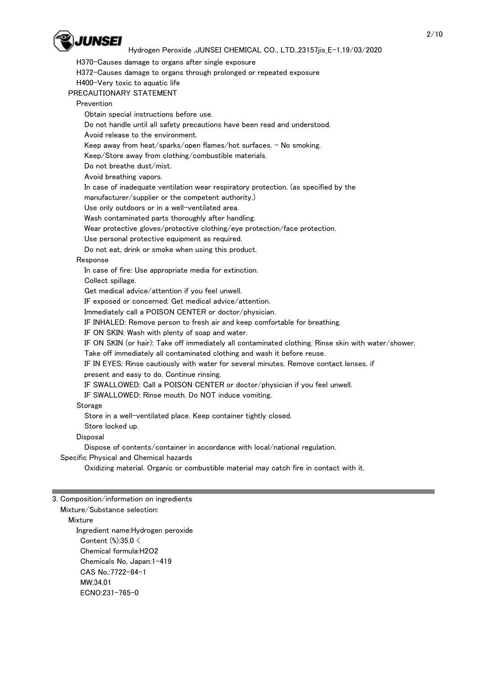

 H370-Causes damage to organs after single exposure H372-Causes damage to organs through prolonged or repeated exposure H400-Very toxic to aquatic life PRECAUTIONARY STATEMENT Prevention Obtain special instructions before use. Do not handle until all safety precautions have been read and understood. Avoid release to the environment. Keep away from heat/sparks/open flames/hot surfaces.  $-$  No smoking. Keep/Store away from clothing/combustible materials. Do not breathe dust/mist. Avoid breathing vapors. In case of inadequate ventilation wear respiratory protection. (as specified by the manufacturer/supplier or the competent authority.) Use only outdoors or in a well-ventilated area. Wash contaminated parts thoroughly after handling. Wear protective gloves/protective clothing/eye protection/face protection. Use personal protective equipment as required. Do not eat, drink or smoke when using this product. Response In case of fire: Use appropriate media for extinction. Collect spillage. Get medical advice/attention if you feel unwell. IF exposed or concerned: Get medical advice/attention. Immediately call a POISON CENTER or doctor/physician. IF INHALED: Remove person to fresh air and keep comfortable for breathing. IF ON SKIN: Wash with plenty of soap and water. IF ON SKIN (or hair): Take off immediately all contaminated clothing. Rinse skin with water/shower. Take off immediately all contaminated clothing and wash it before reuse. IF IN EYES: Rinse cautiously with water for several minutes. Remove contact lenses, if present and easy to do. Continue rinsing. IF SWALLOWED: Call a POISON CENTER or doctor/physician if you feel unwell. IF SWALLOWED: Rinse mouth. Do NOT induce vomiting. **Storage**  Store in a well-ventilated place. Keep container tightly closed. Store locked up. **Disposal**  Dispose of contents/container in accordance with local/national regulation. Specific Physical and Chemical hazards Oxidizing material. Organic or combustible material may catch fire in contact with it.

3. Composition/information on ingredients

 Mixture/Substance selection: Mixture Ingredient name:Hydrogen peroxide Content (%):35.0 < Chemical formula:H2O2 Chemicals No, Japan:1-419 CAS No.:7722-84-1 MW:34.01 ECNO:231-765-0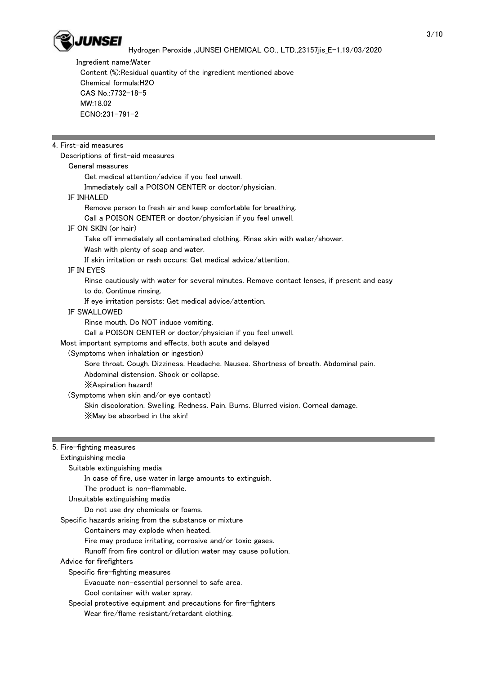

 Ingredient name:Water Content (%):Residual quantity of the ingredient mentioned above Chemical formula:H2O CAS No.:7732-18-5 MW:18.02 ECNO:231-791-2

## 4. First-aid measures

Descriptions of first-aid measures

## General measures

Get medical attention/advice if you feel unwell.

Immediately call a POISON CENTER or doctor/physician.

#### IF INHALED

 Remove person to fresh air and keep comfortable for breathing. Call a POISON CENTER or doctor/physician if you feel unwell. IF ON SKIN (or hair) Take off immediately all contaminated clothing. Rinse skin with water/shower.

Wash with plenty of soap and water.

If skin irritation or rash occurs: Get medical advice/attention.

## IF IN EYES

 Rinse cautiously with water for several minutes. Remove contact lenses, if present and easy to do. Continue rinsing.

If eye irritation persists: Get medical advice/attention.

#### IF SWALLOWED

Rinse mouth. Do NOT induce vomiting.

Call a POISON CENTER or doctor/physician if you feel unwell.

Most important symptoms and effects, both acute and delayed

(Symptoms when inhalation or ingestion)

 Sore throat. Cough. Dizziness. Headache. Nausea. Shortness of breath. Abdominal pain. Abdominal distension. Shock or collapse.

※Aspiration hazard!

(Symptoms when skin and/or eye contact)

 Skin discoloration. Swelling. Redness. Pain. Burns. Blurred vision. Corneal damage. ※May be absorbed in the skin!

## 5. Fire-fighting measures

Extinguishing media

Suitable extinguishing media

In case of fire, use water in large amounts to extinguish.

The product is non-flammable.

Unsuitable extinguishing media

Do not use dry chemicals or foams.

Specific hazards arising from the substance or mixture

Containers may explode when heated.

Fire may produce irritating, corrosive and/or toxic gases.

Runoff from fire control or dilution water may cause pollution.

Advice for firefighters

Specific fire-fighting measures

Evacuate non-essential personnel to safe area.

Cool container with water spray.

 Special protective equipment and precautions for fire-fighters Wear fire/flame resistant/retardant clothing.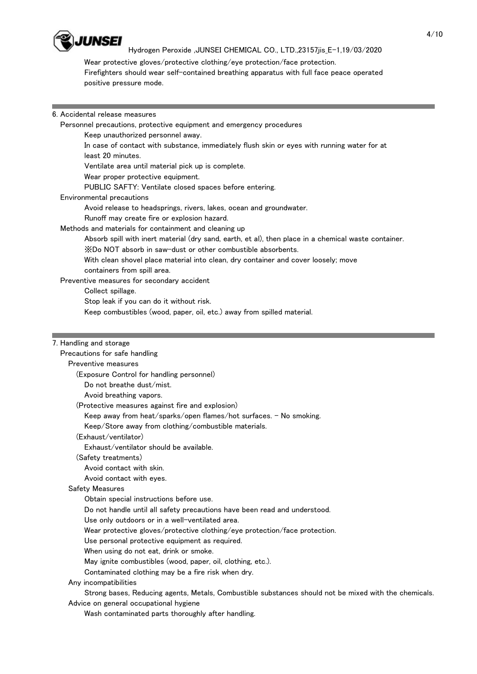

 Wear protective gloves/protective clothing/eye protection/face protection. Firefighters should wear self-contained breathing apparatus with full face peace operated positive pressure mode.

## 6. Accidental release measures

Personnel precautions, protective equipment and emergency procedures

Keep unauthorized personnel away.

 In case of contact with substance, immediately flush skin or eyes with running water for at least 20 minutes.

Ventilate area until material pick up is complete.

Wear proper protective equipment.

PUBLIC SAFTY: Ventilate closed spaces before entering.

## Environmental precautions

Avoid release to headsprings, rivers, lakes, ocean and groundwater.

Runoff may create fire or explosion hazard.

Methods and materials for containment and cleaning up

Absorb spill with inert material (dry sand, earth, et al), then place in a chemical waste container.

※Do NOT absorb in saw-dust or other combustible absorbents.

With clean shovel place material into clean, dry container and cover loosely; move

containers from spill area.

Preventive measures for secondary accident

Collect spillage.

Stop leak if you can do it without risk.

Keep combustibles (wood, paper, oil, etc.) away from spilled material.

## 7. Handling and storage

## Precautions for safe handling

Preventive measures

(Exposure Control for handling personnel)

Do not breathe dust/mist.

Avoid breathing vapors.

(Protective measures against fire and explosion)

Keep away from heat/sparks/open flames/hot surfaces. - No smoking.

Keep/Store away from clothing/combustible materials.

## (Exhaust/ventilator)

Exhaust/ventilator should be available.

(Safety treatments)

Avoid contact with skin.

Avoid contact with eyes.

## Safety Measures

Obtain special instructions before use.

Do not handle until all safety precautions have been read and understood.

Use only outdoors or in a well-ventilated area.

Wear protective gloves/protective clothing/eye protection/face protection.

Use personal protective equipment as required.

When using do not eat, drink or smoke.

May ignite combustibles (wood, paper, oil, clothing, etc.).

Contaminated clothing may be a fire risk when dry.

# Any incompatibilities

Strong bases, Reducing agents, Metals, Combustible substances should not be mixed with the chemicals.

Advice on general occupational hygiene

Wash contaminated parts thoroughly after handling.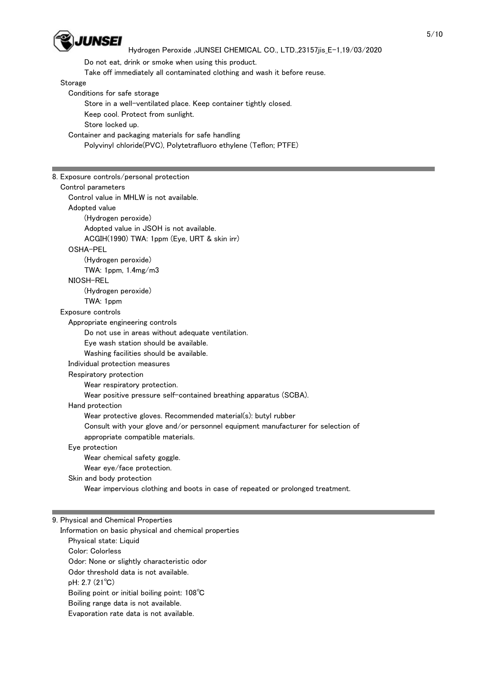

 Do not eat, drink or smoke when using this product. Take off immediately all contaminated clothing and wash it before reuse.

Storage

 Conditions for safe storage Store in a well-ventilated place. Keep container tightly closed. Keep cool. Protect from sunlight. Store locked up. Container and packaging materials for safe handling

Polyvinyl chloride(PVC), Polytetrafluoro ethylene (Teflon; PTFE)

| 8. Exposure controls/personal protection                                         |
|----------------------------------------------------------------------------------|
| Control parameters                                                               |
| Control value in MHLW is not available.                                          |
| Adopted value                                                                    |
| (Hydrogen peroxide)                                                              |
| Adopted value in JSOH is not available.                                          |
| ACGIH(1990) TWA: 1ppm (Eye, URT & skin irr)                                      |
| OSHA-PEL                                                                         |
| (Hydrogen peroxide)                                                              |
| TWA: 1ppm, 1.4mg/m3                                                              |
| NIOSH-REL                                                                        |
| (Hydrogen peroxide)                                                              |
| TWA: 1ppm                                                                        |
| Exposure controls                                                                |
| Appropriate engineering controls                                                 |
| Do not use in areas without adequate ventilation.                                |
| Eye wash station should be available.                                            |
| Washing facilities should be available.                                          |
| Individual protection measures                                                   |
| Respiratory protection                                                           |
| Wear respiratory protection.                                                     |
| Wear positive pressure self-contained breathing apparatus (SCBA).                |
| Hand protection                                                                  |
| Wear protective gloves. Recommended material(s): butyl rubber                    |
| Consult with your glove and/or personnel equipment manufacturer for selection of |
| appropriate compatible materials.                                                |
| Eye protection                                                                   |
| Wear chemical safety goggle.                                                     |
| Wear eye/face protection.                                                        |
| Skin and body protection                                                         |
| Wear impervious clothing and boots in case of repeated or prolonged treatment.   |
|                                                                                  |
|                                                                                  |
| 9. Physical and Chemical Properties                                              |

 Information on basic physical and chemical properties Physical state: Liquid Color: Colorless Odor: None or slightly characteristic odor Odor threshold data is not available. pH: 2.7 (21℃) Boiling point or initial boiling point: 108℃ Boiling range data is not available. Evaporation rate data is not available.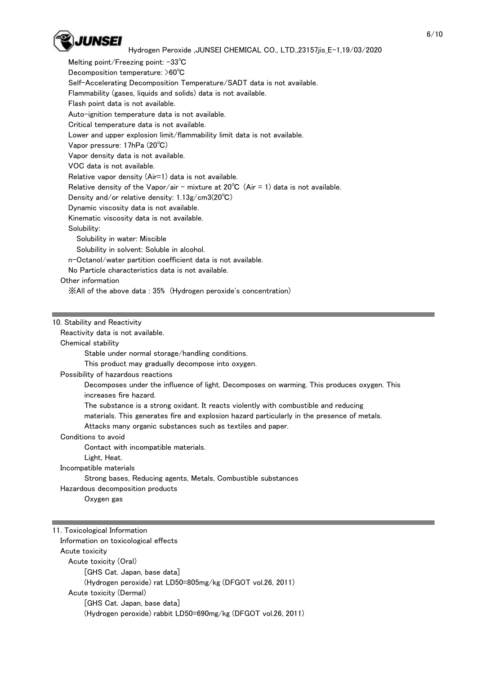

Melting point/Freezing point: -33℃ Decomposition temperature: >60℃ Self-Accelerating Decomposition Temperature/SADT data is not available. Flammability (gases, liquids and solids) data is not available. Flash point data is not available. Auto-ignition temperature data is not available. Critical temperature data is not available. Lower and upper explosion limit/flammability limit data is not available. Vapor pressure: 17hPa (20℃) Vapor density data is not available. VOC data is not available. Relative vapor density (Air=1) data is not available. Relative density of the Vapor/air - mixture at  $20^{\circ}C$  (Air = 1) data is not available. Density and/or relative density: 1.13g/cm3(20℃) Dynamic viscosity data is not available. Kinematic viscosity data is not available. Solubility: Solubility in water: Miscible Solubility in solvent: Soluble in alcohol. n-Octanol/water partition coefficient data is not available. No Particle characteristics data is not available. Other information ※All of the above data : 35% (Hydrogen peroxide's concentration)

#### 10. Stability and Reactivity

Reactivity data is not available.

#### Chemical stability

Stable under normal storage/handling conditions.

This product may gradually decompose into oxygen.

#### Possibility of hazardous reactions

 Decomposes under the influence of light. Decomposes on warming. This produces oxygen. This increases fire hazard.

The substance is a strong oxidant. It reacts violently with combustible and reducing

materials. This generates fire and explosion hazard particularly in the presence of metals.

Attacks many organic substances such as textiles and paper.

Conditions to avoid

Contact with incompatible materials.

Light, Heat.

Incompatible materials

Strong bases, Reducing agents, Metals, Combustible substances

Hazardous decomposition products

Oxygen gas

11. Toxicological Information Information on toxicological effects Acute toxicity Acute toxicity (Oral) [GHS Cat. Japan, base data] (Hydrogen peroxide) rat LD50=805mg/kg (DFGOT vol.26, 2011) Acute toxicity (Dermal) [GHS Cat. Japan, base data] (Hydrogen peroxide) rabbit LD50=690mg/kg (DFGOT vol.26, 2011)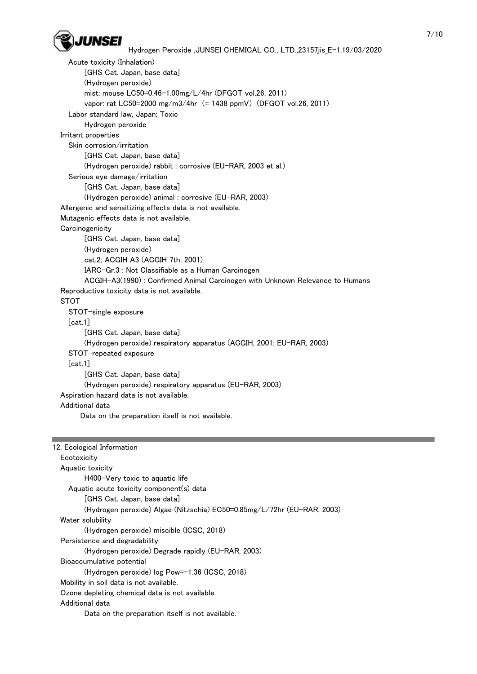

 Acute toxicity (Inhalation) [GHS Cat. Japan, base data] (Hydrogen peroxide) mist: mouse LC50=0.46-1.00mg/L/4hr (DFGOT vol.26, 2011) vapor: rat LC50=2000 mg/m3/4hr (= 1438 ppmV) (DFGOT vol.26, 2011) Labor standard law, Japan; Toxic Hydrogen peroxide Irritant properties Skin corrosion/irritation [GHS Cat. Japan, base data] (Hydrogen peroxide) rabbit : corrosive (EU-RAR, 2003 et al.) Serious eye damage/irritation [GHS Cat. Japan, base data] (Hydrogen peroxide) animal : corrosive (EU-RAR, 2003) Allergenic and sensitizing effects data is not available. Mutagenic effects data is not available. **Carcinogenicity**  [GHS Cat. Japan, base data] (Hydrogen peroxide) cat.2; ACGIH A3 (ACGIH 7th, 2001) IARC-Gr.3 : Not Classifiable as a Human Carcinogen ACGIH-A3(1990) : Confirmed Animal Carcinogen with Unknown Relevance to Humans Reproductive toxicity data is not available. **STOT**  STOT-single exposure [cat.1] [GHS Cat. Japan, base data] (Hydrogen peroxide) respiratory apparatus (ACGIH, 2001; EU-RAR, 2003) STOT-repeated exposure [cat.1] [GHS Cat. Japan, base data] (Hydrogen peroxide) respiratory apparatus (EU-RAR, 2003) Aspiration hazard data is not available. Additional data Data on the preparation itself is not available.

| 12. Ecological Information                                              |
|-------------------------------------------------------------------------|
| Ecotoxicity                                                             |
| Aquatic toxicity                                                        |
| H400-Very toxic to aguatic life                                         |
| Aquatic acute toxicity component(s) data                                |
| GHS Cat. Japan. base data                                               |
| (Hydrogen peroxide) Algae (Nitzschia) EC50=0.85mg/L/72hr (EU-RAR, 2003) |
| Water solubility                                                        |
| (Hydrogen peroxide) miscible (ICSC, 2018)                               |
| Persistence and degradability                                           |
| (Hydrogen peroxide) Degrade rapidly (EU-RAR, 2003)                      |
| Bioaccumulative potential                                               |
| (Hydrogen peroxide) log Pow=-1.36 (ICSC, 2018)                          |
| Mobility in soil data is not available.                                 |
| Ozone depleting chemical data is not available.                         |
| Additional data                                                         |
| Data on the preparation itself is not available.                        |
|                                                                         |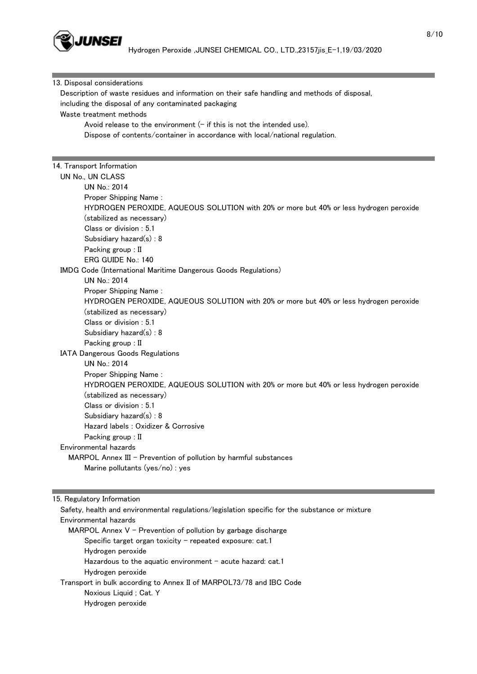

| Description of waste residues and information on their safe handling and methods of disposal,<br>including the disposal of any contaminated packaging<br>Waste treatment methods<br>Avoid release to the environment $(-$ if this is not the intended use).<br>Dispose of contents/container in accordance with local/national regulation.<br>14. Transport Information<br>UN No., UN CLASS<br>UN No.: 2014<br>Proper Shipping Name:<br>HYDROGEN PEROXIDE, AQUEOUS SOLUTION with 20% or more but 40% or less hydrogen peroxide<br>(stabilized as necessary)<br>Class or division: 5.1<br>Subsidiary hazard(s): 8<br>Packing group : II<br>ERG GUIDE No.: 140<br>IMDG Code (International Maritime Dangerous Goods Regulations)<br>UN No.: 2014<br>Proper Shipping Name:<br>HYDROGEN PEROXIDE, AQUEOUS SOLUTION with 20% or more but 40% or less hydrogen peroxide<br>(stabilized as necessary)<br>Class or division: 5.1<br>Subsidiary hazard(s): 8<br>Packing group : II<br>IATA Dangerous Goods Regulations<br>UN No.: 2014<br>Proper Shipping Name:<br>HYDROGEN PEROXIDE, AQUEOUS SOLUTION with 20% or more but 40% or less hydrogen peroxide<br>(stabilized as necessary)<br>Class or division: 5.1<br>Subsidiary hazard(s): 8<br>Hazard labels : Oxidizer & Corrosive<br>Packing group: II<br>Environmental hazards<br>MARPOL Annex III - Prevention of pollution by harmful substances<br>Marine pollutants (yes/no) : yes |                             |  |
|----------------------------------------------------------------------------------------------------------------------------------------------------------------------------------------------------------------------------------------------------------------------------------------------------------------------------------------------------------------------------------------------------------------------------------------------------------------------------------------------------------------------------------------------------------------------------------------------------------------------------------------------------------------------------------------------------------------------------------------------------------------------------------------------------------------------------------------------------------------------------------------------------------------------------------------------------------------------------------------------------------------------------------------------------------------------------------------------------------------------------------------------------------------------------------------------------------------------------------------------------------------------------------------------------------------------------------------------------------------------------------------------------------------------------------|-----------------------------|--|
|                                                                                                                                                                                                                                                                                                                                                                                                                                                                                                                                                                                                                                                                                                                                                                                                                                                                                                                                                                                                                                                                                                                                                                                                                                                                                                                                                                                                                                  | 13. Disposal considerations |  |
|                                                                                                                                                                                                                                                                                                                                                                                                                                                                                                                                                                                                                                                                                                                                                                                                                                                                                                                                                                                                                                                                                                                                                                                                                                                                                                                                                                                                                                  |                             |  |
|                                                                                                                                                                                                                                                                                                                                                                                                                                                                                                                                                                                                                                                                                                                                                                                                                                                                                                                                                                                                                                                                                                                                                                                                                                                                                                                                                                                                                                  |                             |  |
|                                                                                                                                                                                                                                                                                                                                                                                                                                                                                                                                                                                                                                                                                                                                                                                                                                                                                                                                                                                                                                                                                                                                                                                                                                                                                                                                                                                                                                  |                             |  |
|                                                                                                                                                                                                                                                                                                                                                                                                                                                                                                                                                                                                                                                                                                                                                                                                                                                                                                                                                                                                                                                                                                                                                                                                                                                                                                                                                                                                                                  |                             |  |
|                                                                                                                                                                                                                                                                                                                                                                                                                                                                                                                                                                                                                                                                                                                                                                                                                                                                                                                                                                                                                                                                                                                                                                                                                                                                                                                                                                                                                                  |                             |  |
|                                                                                                                                                                                                                                                                                                                                                                                                                                                                                                                                                                                                                                                                                                                                                                                                                                                                                                                                                                                                                                                                                                                                                                                                                                                                                                                                                                                                                                  |                             |  |
|                                                                                                                                                                                                                                                                                                                                                                                                                                                                                                                                                                                                                                                                                                                                                                                                                                                                                                                                                                                                                                                                                                                                                                                                                                                                                                                                                                                                                                  |                             |  |
|                                                                                                                                                                                                                                                                                                                                                                                                                                                                                                                                                                                                                                                                                                                                                                                                                                                                                                                                                                                                                                                                                                                                                                                                                                                                                                                                                                                                                                  |                             |  |
|                                                                                                                                                                                                                                                                                                                                                                                                                                                                                                                                                                                                                                                                                                                                                                                                                                                                                                                                                                                                                                                                                                                                                                                                                                                                                                                                                                                                                                  |                             |  |
|                                                                                                                                                                                                                                                                                                                                                                                                                                                                                                                                                                                                                                                                                                                                                                                                                                                                                                                                                                                                                                                                                                                                                                                                                                                                                                                                                                                                                                  |                             |  |
|                                                                                                                                                                                                                                                                                                                                                                                                                                                                                                                                                                                                                                                                                                                                                                                                                                                                                                                                                                                                                                                                                                                                                                                                                                                                                                                                                                                                                                  |                             |  |
|                                                                                                                                                                                                                                                                                                                                                                                                                                                                                                                                                                                                                                                                                                                                                                                                                                                                                                                                                                                                                                                                                                                                                                                                                                                                                                                                                                                                                                  |                             |  |
|                                                                                                                                                                                                                                                                                                                                                                                                                                                                                                                                                                                                                                                                                                                                                                                                                                                                                                                                                                                                                                                                                                                                                                                                                                                                                                                                                                                                                                  |                             |  |
|                                                                                                                                                                                                                                                                                                                                                                                                                                                                                                                                                                                                                                                                                                                                                                                                                                                                                                                                                                                                                                                                                                                                                                                                                                                                                                                                                                                                                                  |                             |  |
|                                                                                                                                                                                                                                                                                                                                                                                                                                                                                                                                                                                                                                                                                                                                                                                                                                                                                                                                                                                                                                                                                                                                                                                                                                                                                                                                                                                                                                  |                             |  |
|                                                                                                                                                                                                                                                                                                                                                                                                                                                                                                                                                                                                                                                                                                                                                                                                                                                                                                                                                                                                                                                                                                                                                                                                                                                                                                                                                                                                                                  |                             |  |
|                                                                                                                                                                                                                                                                                                                                                                                                                                                                                                                                                                                                                                                                                                                                                                                                                                                                                                                                                                                                                                                                                                                                                                                                                                                                                                                                                                                                                                  |                             |  |
|                                                                                                                                                                                                                                                                                                                                                                                                                                                                                                                                                                                                                                                                                                                                                                                                                                                                                                                                                                                                                                                                                                                                                                                                                                                                                                                                                                                                                                  |                             |  |
|                                                                                                                                                                                                                                                                                                                                                                                                                                                                                                                                                                                                                                                                                                                                                                                                                                                                                                                                                                                                                                                                                                                                                                                                                                                                                                                                                                                                                                  |                             |  |
|                                                                                                                                                                                                                                                                                                                                                                                                                                                                                                                                                                                                                                                                                                                                                                                                                                                                                                                                                                                                                                                                                                                                                                                                                                                                                                                                                                                                                                  |                             |  |
|                                                                                                                                                                                                                                                                                                                                                                                                                                                                                                                                                                                                                                                                                                                                                                                                                                                                                                                                                                                                                                                                                                                                                                                                                                                                                                                                                                                                                                  |                             |  |
|                                                                                                                                                                                                                                                                                                                                                                                                                                                                                                                                                                                                                                                                                                                                                                                                                                                                                                                                                                                                                                                                                                                                                                                                                                                                                                                                                                                                                                  |                             |  |
|                                                                                                                                                                                                                                                                                                                                                                                                                                                                                                                                                                                                                                                                                                                                                                                                                                                                                                                                                                                                                                                                                                                                                                                                                                                                                                                                                                                                                                  |                             |  |
|                                                                                                                                                                                                                                                                                                                                                                                                                                                                                                                                                                                                                                                                                                                                                                                                                                                                                                                                                                                                                                                                                                                                                                                                                                                                                                                                                                                                                                  |                             |  |
|                                                                                                                                                                                                                                                                                                                                                                                                                                                                                                                                                                                                                                                                                                                                                                                                                                                                                                                                                                                                                                                                                                                                                                                                                                                                                                                                                                                                                                  |                             |  |
|                                                                                                                                                                                                                                                                                                                                                                                                                                                                                                                                                                                                                                                                                                                                                                                                                                                                                                                                                                                                                                                                                                                                                                                                                                                                                                                                                                                                                                  |                             |  |
|                                                                                                                                                                                                                                                                                                                                                                                                                                                                                                                                                                                                                                                                                                                                                                                                                                                                                                                                                                                                                                                                                                                                                                                                                                                                                                                                                                                                                                  |                             |  |
|                                                                                                                                                                                                                                                                                                                                                                                                                                                                                                                                                                                                                                                                                                                                                                                                                                                                                                                                                                                                                                                                                                                                                                                                                                                                                                                                                                                                                                  |                             |  |
|                                                                                                                                                                                                                                                                                                                                                                                                                                                                                                                                                                                                                                                                                                                                                                                                                                                                                                                                                                                                                                                                                                                                                                                                                                                                                                                                                                                                                                  |                             |  |
|                                                                                                                                                                                                                                                                                                                                                                                                                                                                                                                                                                                                                                                                                                                                                                                                                                                                                                                                                                                                                                                                                                                                                                                                                                                                                                                                                                                                                                  |                             |  |
|                                                                                                                                                                                                                                                                                                                                                                                                                                                                                                                                                                                                                                                                                                                                                                                                                                                                                                                                                                                                                                                                                                                                                                                                                                                                                                                                                                                                                                  |                             |  |
|                                                                                                                                                                                                                                                                                                                                                                                                                                                                                                                                                                                                                                                                                                                                                                                                                                                                                                                                                                                                                                                                                                                                                                                                                                                                                                                                                                                                                                  |                             |  |
|                                                                                                                                                                                                                                                                                                                                                                                                                                                                                                                                                                                                                                                                                                                                                                                                                                                                                                                                                                                                                                                                                                                                                                                                                                                                                                                                                                                                                                  |                             |  |
|                                                                                                                                                                                                                                                                                                                                                                                                                                                                                                                                                                                                                                                                                                                                                                                                                                                                                                                                                                                                                                                                                                                                                                                                                                                                                                                                                                                                                                  |                             |  |
|                                                                                                                                                                                                                                                                                                                                                                                                                                                                                                                                                                                                                                                                                                                                                                                                                                                                                                                                                                                                                                                                                                                                                                                                                                                                                                                                                                                                                                  |                             |  |
|                                                                                                                                                                                                                                                                                                                                                                                                                                                                                                                                                                                                                                                                                                                                                                                                                                                                                                                                                                                                                                                                                                                                                                                                                                                                                                                                                                                                                                  |                             |  |
|                                                                                                                                                                                                                                                                                                                                                                                                                                                                                                                                                                                                                                                                                                                                                                                                                                                                                                                                                                                                                                                                                                                                                                                                                                                                                                                                                                                                                                  |                             |  |
|                                                                                                                                                                                                                                                                                                                                                                                                                                                                                                                                                                                                                                                                                                                                                                                                                                                                                                                                                                                                                                                                                                                                                                                                                                                                                                                                                                                                                                  |                             |  |
|                                                                                                                                                                                                                                                                                                                                                                                                                                                                                                                                                                                                                                                                                                                                                                                                                                                                                                                                                                                                                                                                                                                                                                                                                                                                                                                                                                                                                                  | 15. Regulatory Information  |  |

 Safety, health and environmental regulations/legislation specific for the substance or mixture Environmental hazards MARPOL Annex  $V$  - Prevention of pollution by garbage discharge Specific target organ toxicity  $-$  repeated exposure: cat.1 Hydrogen peroxide Hazardous to the aquatic environment  $-$  acute hazard: cat.1 Hydrogen peroxide Transport in bulk according to Annex II of MARPOL73/78 and IBC Code Noxious Liquid ; Cat. Y Hydrogen peroxide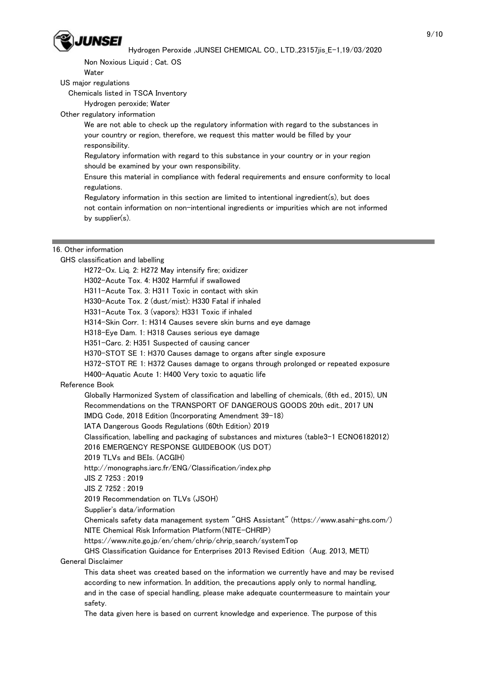

Non Noxious Liquid ; Cat. OS

Water

US major regulations

Chemicals listed in TSCA Inventory

Hydrogen peroxide; Water

Other regulatory information

 We are not able to check up the regulatory information with regard to the substances in your country or region, therefore, we request this matter would be filled by your responsibility.

 Regulatory information with regard to this substance in your country or in your region should be examined by your own responsibility.

 Ensure this material in compliance with federal requirements and ensure conformity to local regulations.

 Regulatory information in this section are limited to intentional ingredient(s), but does not contain information on non-intentional ingredients or impurities which are not informed by supplier(s).

#### 16. Other information

GHS classification and labelling

H272-Ox. Liq. 2: H272 May intensify fire; oxidizer

H302-Acute Tox. 4: H302 Harmful if swallowed

H311-Acute Tox. 3: H311 Toxic in contact with skin

H330-Acute Tox. 2 (dust/mist): H330 Fatal if inhaled

H331-Acute Tox. 3 (vapors): H331 Toxic if inhaled

H314-Skin Corr. 1: H314 Causes severe skin burns and eye damage

H318-Eye Dam. 1: H318 Causes serious eye damage

H351-Carc. 2: H351 Suspected of causing cancer

H370-STOT SE 1: H370 Causes damage to organs after single exposure

H372-STOT RE 1: H372 Causes damage to organs through prolonged or repeated exposure

H400-Aquatic Acute 1: H400 Very toxic to aquatic life

## Reference Book

 Globally Harmonized System of classification and labelling of chemicals, (6th ed., 2015), UN Recommendations on the TRANSPORT OF DANGEROUS GOODS 20th edit., 2017 UN

IMDG Code, 2018 Edition (Incorporating Amendment 39-18)

IATA Dangerous Goods Regulations (60th Edition) 2019

Classification, labelling and packaging of substances and mixtures (table3-1 ECNO6182012)

2016 EMERGENCY RESPONSE GUIDEBOOK (US DOT)

2019 TLVs and BEIs. (ACGIH)

http://monographs.iarc.fr/ENG/Classification/index.php

JIS Z 7253 : 2019

JIS Z 7252 : 2019

2019 Recommendation on TLVs (JSOH)

Supplier's data/information

 Chemicals safety data management system "GHS Assistant" (https://www.asahi-ghs.com/) NITE Chemical Risk Information Platform(NITE-CHRIP)

https://www.nite.go.jp/en/chem/chrip/chrip\_search/systemTop

 GHS Classification Guidance for Enterprises 2013 Revised Edition (Aug. 2013, METI) General Disclaimer

 This data sheet was created based on the information we currently have and may be revised according to new information. In addition, the precautions apply only to normal handling, and in the case of special handling, please make adequate countermeasure to maintain your safety.

The data given here is based on current knowledge and experience. The purpose of this